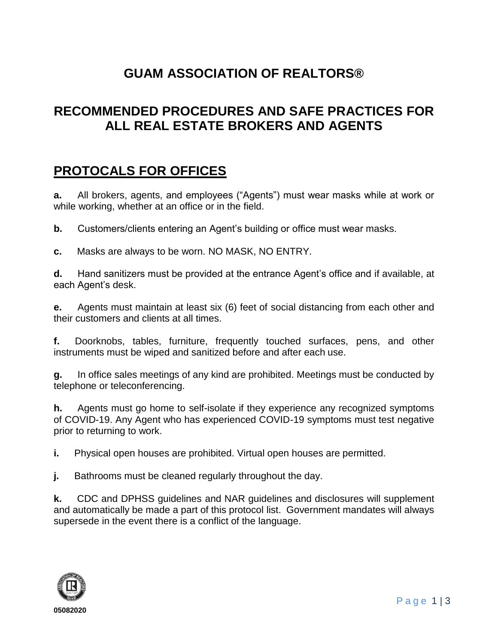#### **GUAM ASSOCIATION OF REALTORS®**

#### **RECOMMENDED PROCEDURES AND SAFE PRACTICES FOR ALL REAL ESTATE BROKERS AND AGENTS**

#### **PROTOCALS FOR OFFICES**

**a.** All brokers, agents, and employees ("Agents") must wear masks while at work or while working, whether at an office or in the field.

**b.** Customers/clients entering an Agent's building or office must wear masks.

**c.** Masks are always to be worn. NO MASK, NO ENTRY.

**d.** Hand sanitizers must be provided at the entrance Agent's office and if available, at each Agent's desk.

**e.** Agents must maintain at least six (6) feet of social distancing from each other and their customers and clients at all times.

**f.** Doorknobs, tables, furniture, frequently touched surfaces, pens, and other instruments must be wiped and sanitized before and after each use.

**g.** In office sales meetings of any kind are prohibited. Meetings must be conducted by telephone or teleconferencing.

**h.** Agents must go home to self-isolate if they experience any recognized symptoms of COVID-19. Any Agent who has experienced COVID-19 symptoms must test negative prior to returning to work.

**i.** Physical open houses are prohibited. Virtual open houses are permitted.

**j.** Bathrooms must be cleaned regularly throughout the day.

**k.** CDC and DPHSS guidelines and NAR guidelines and disclosures will supplement and automatically be made a part of this protocol list. Government mandates will always supersede in the event there is a conflict of the language.

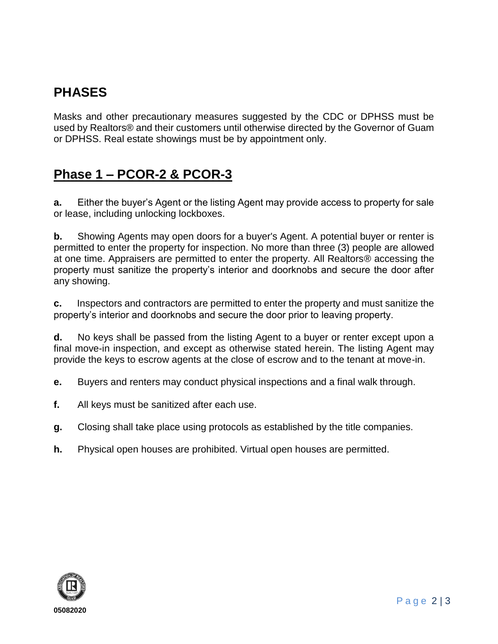# **PHASES**

Masks and other precautionary measures suggested by the CDC or DPHSS must be used by Realtors® and their customers until otherwise directed by the Governor of Guam or DPHSS. Real estate showings must be by appointment only.

# **Phase 1 – PCOR-2 & PCOR-3**

**a.** Either the buyer's Agent or the listing Agent may provide access to property for sale or lease, including unlocking lockboxes.

**b.** Showing Agents may open doors for a buyer's Agent. A potential buyer or renter is permitted to enter the property for inspection. No more than three (3) people are allowed at one time. Appraisers are permitted to enter the property. All Realtors® accessing the property must sanitize the property's interior and doorknobs and secure the door after any showing.

**c.** Inspectors and contractors are permitted to enter the property and must sanitize the property's interior and doorknobs and secure the door prior to leaving property.

**d.** No keys shall be passed from the listing Agent to a buyer or renter except upon a final move-in inspection, and except as otherwise stated herein. The listing Agent may provide the keys to escrow agents at the close of escrow and to the tenant at move-in.

**e.** Buyers and renters may conduct physical inspections and a final walk through.

- **f.** All keys must be sanitized after each use.
- **g.** Closing shall take place using protocols as established by the title companies.
- **h.** Physical open houses are prohibited. Virtual open houses are permitted.